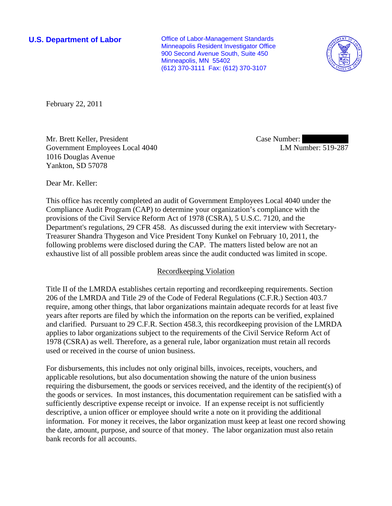**U.S. Department of Labor Conservative Conservative Conservative Conservative Conservative Conservative Conservative Conservative Conservative Conservative Conservative Conservative Conservative Conservative Conservative** Minneapolis Resident Investigator Office 900 Second Avenue South, Suite 450 Minneapolis, MN 55402 (612) 370-3111 Fax: (612) 370-3107



February 22, 2011

Mr. Brett Keller, President Government Employees Local 4040 1016 Douglas Avenue Yankton, SD 57078

Case Number: LM Number: 519-287

Dear Mr. Keller:

This office has recently completed an audit of Government Employees Local 4040 under the Compliance Audit Program (CAP) to determine your organization's compliance with the provisions of the Civil Service Reform Act of 1978 (CSRA), 5 U.S.C. 7120, and the Department's regulations, 29 CFR 458. As discussed during the exit interview with Secretary-Treasurer Shandra Thygeson and Vice President Tony Kunkel on February 10, 2011, the following problems were disclosed during the CAP. The matters listed below are not an exhaustive list of all possible problem areas since the audit conducted was limited in scope.

## Recordkeeping Violation

Title II of the LMRDA establishes certain reporting and recordkeeping requirements. Section 206 of the LMRDA and Title 29 of the Code of Federal Regulations (C.F.R.) Section 403.7 require, among other things, that labor organizations maintain adequate records for at least five years after reports are filed by which the information on the reports can be verified, explained and clarified. Pursuant to 29 C.F.R. Section 458.3, this recordkeeping provision of the LMRDA applies to labor organizations subject to the requirements of the Civil Service Reform Act of 1978 (CSRA) as well. Therefore, as a general rule, labor organization must retain all records used or received in the course of union business.

For disbursements, this includes not only original bills, invoices, receipts, vouchers, and applicable resolutions, but also documentation showing the nature of the union business requiring the disbursement, the goods or services received, and the identity of the recipient(s) of the goods or services. In most instances, this documentation requirement can be satisfied with a sufficiently descriptive expense receipt or invoice. If an expense receipt is not sufficiently descriptive, a union officer or employee should write a note on it providing the additional information. For money it receives, the labor organization must keep at least one record showing the date, amount, purpose, and source of that money. The labor organization must also retain bank records for all accounts.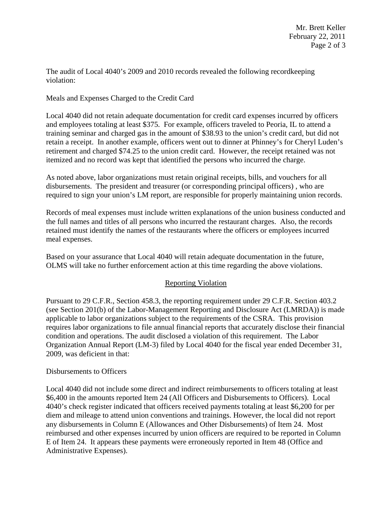The audit of Local 4040's 2009 and 2010 records revealed the following recordkeeping violation:

Meals and Expenses Charged to the Credit Card

Local 4040 did not retain adequate documentation for credit card expenses incurred by officers and employees totaling at least \$375. For example, officers traveled to Peoria, IL to attend a training seminar and charged gas in the amount of \$38.93 to the union's credit card, but did not retain a receipt. In another example, officers went out to dinner at Phinney's for Cheryl Luden's retirement and charged \$74.25 to the union credit card. However, the receipt retained was not itemized and no record was kept that identified the persons who incurred the charge.

As noted above, labor organizations must retain original receipts, bills, and vouchers for all disbursements. The president and treasurer (or corresponding principal officers) , who are required to sign your union's LM report, are responsible for properly maintaining union records.

Records of meal expenses must include written explanations of the union business conducted and the full names and titles of all persons who incurred the restaurant charges. Also, the records retained must identify the names of the restaurants where the officers or employees incurred meal expenses.

Based on your assurance that Local 4040 will retain adequate documentation in the future, OLMS will take no further enforcement action at this time regarding the above violations.

## Reporting Violation

Pursuant to 29 C.F.R., Section 458.3, the reporting requirement under 29 C.F.R. Section 403.2 (see Section 201(b) of the Labor-Management Reporting and Disclosure Act (LMRDA)) is made applicable to labor organizations subject to the requirements of the CSRA. This provision requires labor organizations to file annual financial reports that accurately disclose their financial condition and operations. The audit disclosed a violation of this requirement. The Labor Organization Annual Report (LM-3) filed by Local 4040 for the fiscal year ended December 31, 2009, was deficient in that:

## Disbursements to Officers

Local 4040 did not include some direct and indirect reimbursements to officers totaling at least \$6,400 in the amounts reported Item 24 (All Officers and Disbursements to Officers). Local 4040's check register indicated that officers received payments totaling at least \$6,200 for per diem and mileage to attend union conventions and trainings. However, the local did not report any disbursements in Column E (Allowances and Other Disbursements) of Item 24. Most reimbursed and other expenses incurred by union officers are required to be reported in Column E of Item 24. It appears these payments were erroneously reported in Item 48 (Office and Administrative Expenses).